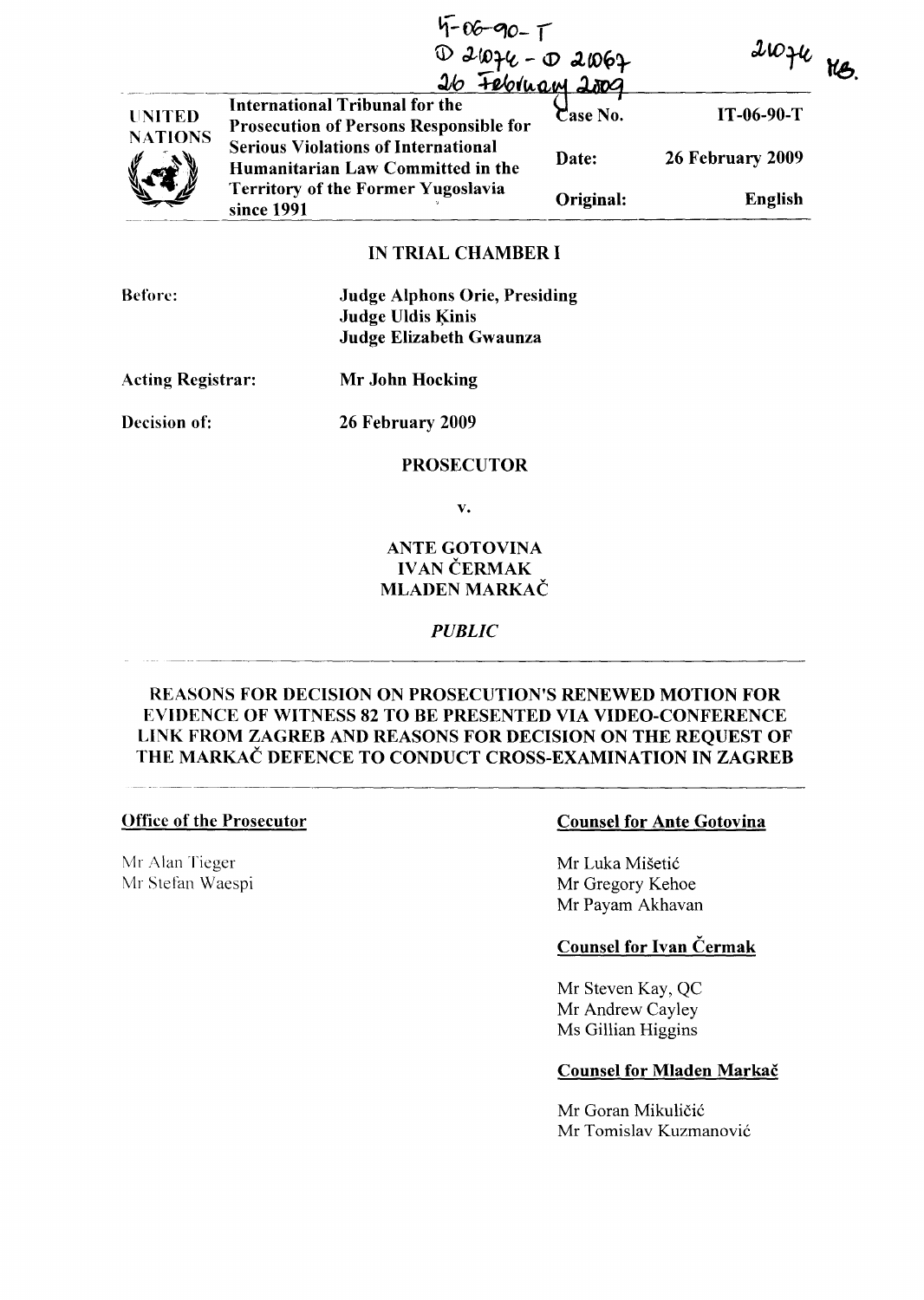|                     | $4 - 06 - 90 - 1$<br>$D 21076 - D 21069$<br>$316 72011201$<br>$310 4$                  |           | $21046$ He       |  |
|---------------------|----------------------------------------------------------------------------------------|-----------|------------------|--|
| <b>UNITED</b>       | <b>International Tribunal for the</b><br><b>Prosecution of Persons Responsible for</b> | Case No.  | $IT-06-90-T$     |  |
| <b>NATIONS</b><br>V | <b>Serious Violations of International</b><br>Humanitarian Law Committed in the        | Date:     | 26 February 2009 |  |
|                     | <b>Territory of the Former Yugoslavia</b><br>since 1991                                | Original: | <b>English</b>   |  |

# IN TRIAL CHAMBER I

Before: Judge Alphons Orie, Presiding

Judge Uldis Kinis Judge Elizabeth Gwaunza

Acting Registrar: Mr John Hocking

Decision of: 26 February 2009

## PROSECUTOR

v.

# ANTE GOTOVINA IVAN ČERMAK MLADEN MARKAČ

## *PUBLIC*

# REASONS FOR DECISION ON PROSECUTION'S RENEWED MOTION FOR EVIDENCE OF WITNESS 82 TO BE PRESENTED VIA VIDEO-CONFERENCE LINK FROM ZAGREB AND REASONS FOR DECISION ON THE REQUEST OF THE MARKAC DEFENCE TO CONDUCT CROSS-EXAMINATION IN ZAGREB

Mr Alan Tieger Mr Stefan Waespi

## Office of the Prosecutor Counsel for Ante Gotovina

Mr Luka Misetic Mr Gregory Kehoe Mr Payarn Akhavan

# Counsel for Ivan Cermak

Mr Steven Kay, QC Mr Andrew Cayley Ms Gillian Higgins

## Counsel for Mladen Markač

Mr Goran Mikuličić Mr Tomislav Kuzmanovic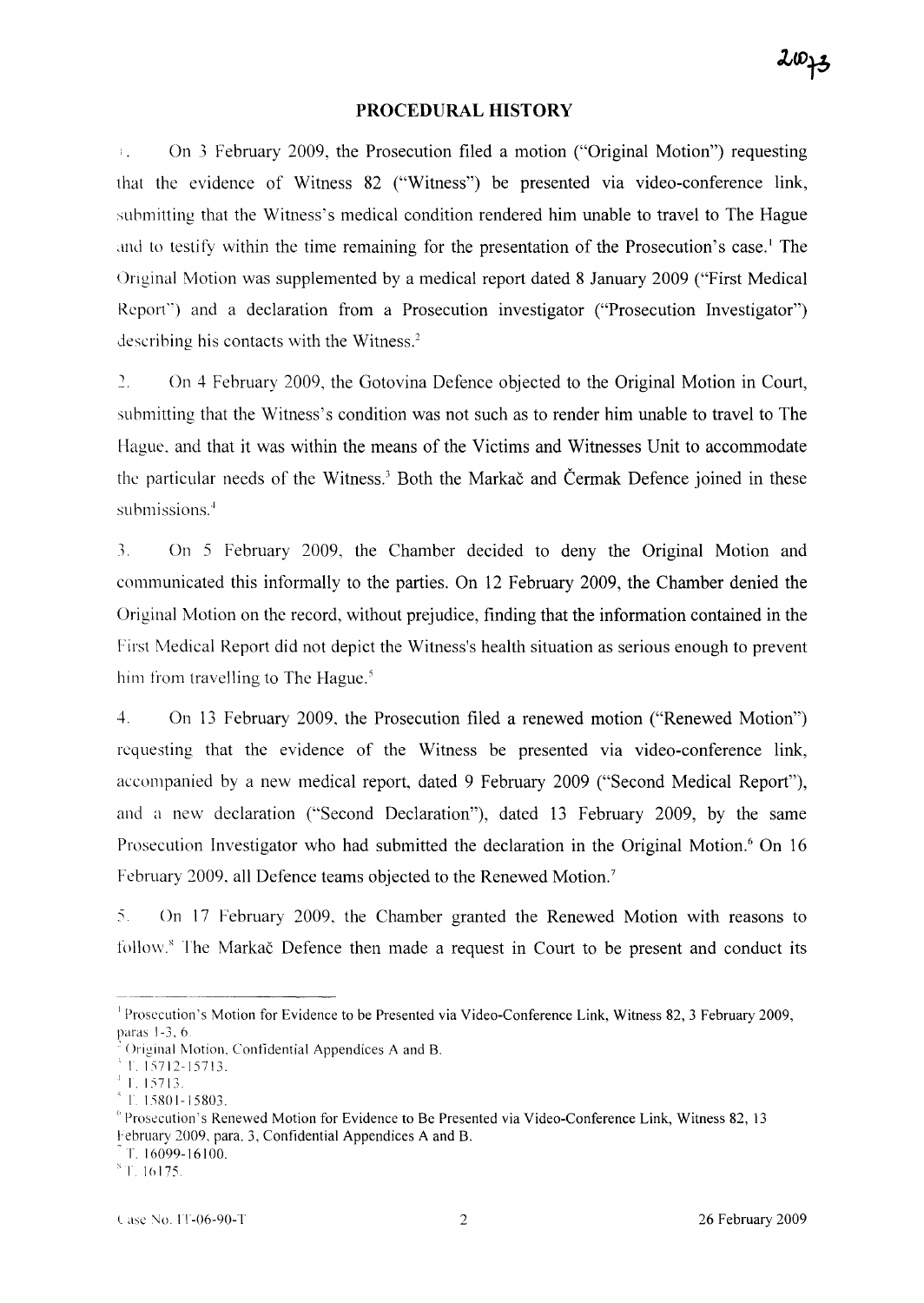## **PROCEDURAL HISTORY**

On 3 February 2009, the Prosecution filed a motion ("Original Motion") requesting  $\mathbb{F}_4$  . that the evidence of Witness 82 ("Witness") be presented via video-conference link, submitting that the Witness's medical condition rendered him unable to travel to The Hague and to testify within the time remaining for the presentation of the Prosecution's case.<sup>1</sup> The Original Motion was supplemented by a medical report dated 8 January 2009 ("First Medical Report") and a declaration from a Prosecution investigator ("Prosecution Investigator") describing his contacts with the Witness.'

2. On 4 February 2009, the Gotovina Defence objected to the Original Motion in Court, submitting that the Witness's condition was not such as to render him unable to travel to The Hague. and that it was within the means of the Victims and Witnesses Unit to accommodate the particular needs of the Witness.' Both the Markac and Cermak Defence joined in these submissions.<sup>4</sup>

3. On 5 February 2009, the Chamber decided to deny the Original Motion and communicated this informally to the parties. On 12 February 2009, the Chamber denied the Original Motion on the record, without prejudice, finding that the information contained in the First Medical Report did not depict the Witness's health situation as serious enough to prevent him from travelling to The Hague.<sup>5</sup>

4. On 13 February 2009, the Prosecution filed a renewed motion ("Renewed Motion") requesting that the evidence of the Witness be presented via video-conference link, accompanied by a new medical report, dated 9 February 2009 ("Second Medical Report"), and a new declaration ("Second Declaration"), dated 13 February 2009, by the same Prosecution Investigator who had submitted the declaration in the Original Motion.<sup>6</sup> On 16 February 2009, all Defence teams objected to the Renewed Motion.'

:" On 17 February 2009, the Chamber granted the Renewed Motion with reasons to follow.<sup>8</sup> The Markac Defence then made a request in Court to be present and conduct its

 $^{\circ}$  T. 15712-15713.

T. 16099-16100.

<sup>&</sup>lt;sup>1</sup> Prosecution's Motion for Evidence to be Presented via Video-Conference Link, Witness 82, 3 February 2009, paras 1-3,6

<sup>.</sup> Original Motion, Confidential Appendices A and B.

 $^{4}$  T. 15713.

 $\rm{^{5}}$ T. 15801-15803.

<sup>{,</sup> Prosecution's Renewed Motion for Evidence to Be Presented via Video-Conference Link, Witness 82, 13 February 2009, para. 3, Confidential Appendices A and B.

 $\mathrm{^{8}T.16175}$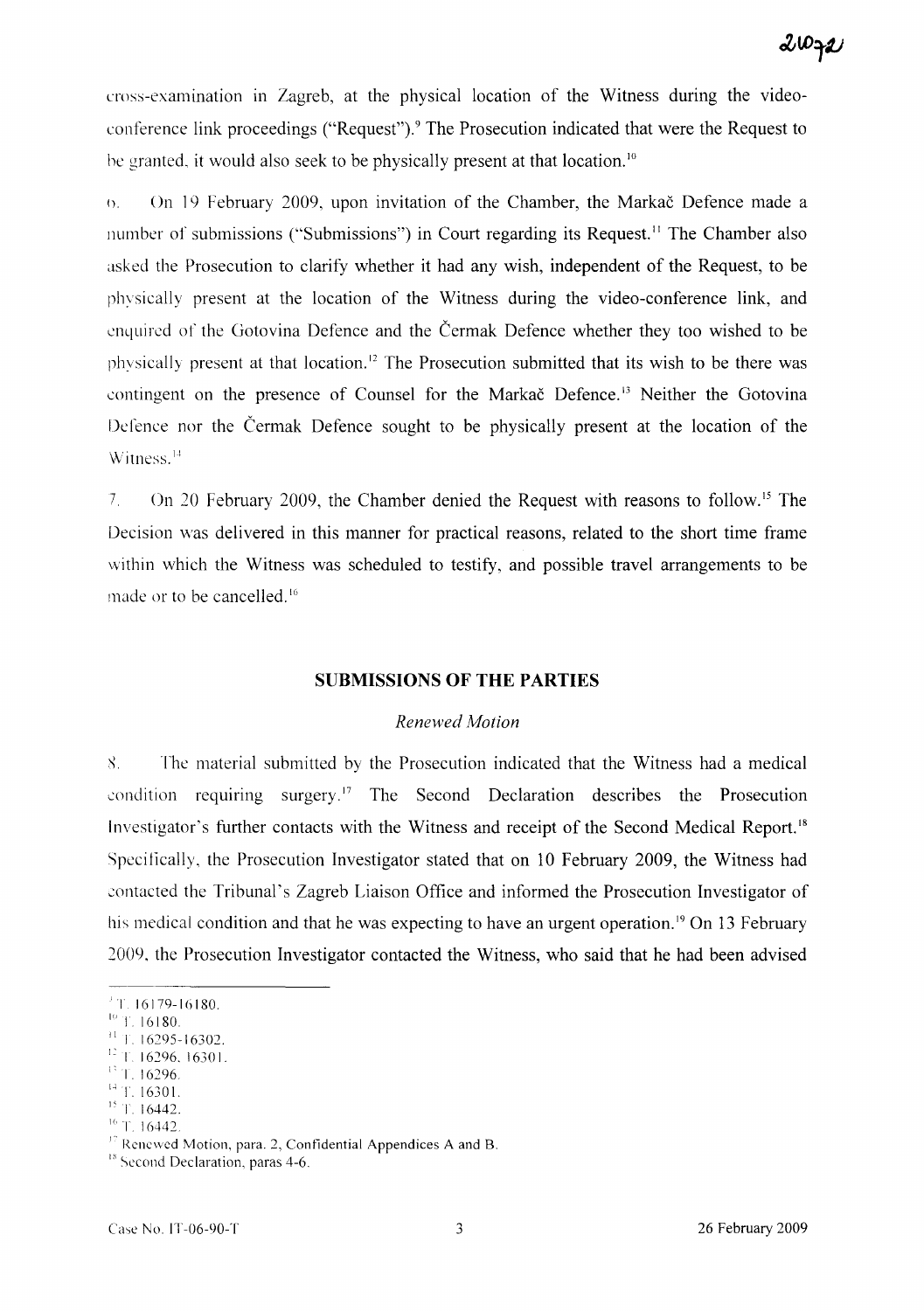cross-examination in Zagreb, at the physical location of the Witness during the videoconference link proceedings ("Request").9 The Prosecution indicated that were the Request to he granted, it would also seek to be physically present at that location. <sup>10</sup>

n. On 19 February 2009, upon invitation of the Chamber, the Markac Defence made a number of submissions ("Submissions") in Court regarding its Request.<sup>11</sup> The Chamber also asked the Prosecution to clarify whether it had any wish, independent of the Request, to be physically present at the location of the Witness during the video-conference link, and enquired of the Gotovina Defence and the Cermak Defence whether they too wished to be physically present at that location." The Prosecution submitted that its wish to be there was contingent on the presence of Counsel for the Markač Defence.<sup>13</sup> Neither the Gotovina Defence nor the Cermak Defence sought to be physically present at the location of the Witness.<sup>14</sup>

7. On 20 February 2009, the Chamber denied the Request with reasons to follow. IS The Decision was delivered in this manner for practical reasons, related to the short time frame within which the Witness was scheduled to testify, and possible travel arrangements to be made or to be cancelled. <sup>16</sup>

#### **SUBMISSIONS OF THE PARTIES**

#### *Renewed Motion*

8. The material submitted by the Prosecution indicated that the Witness had a medical condition requiring surgery.<sup>17</sup> The Second Declaration describes the Prosecution Investigator's further contacts with the Witness and receipt of the Second Medical Report." Specifically, the Prosecution Investigator stated that on 10 February 2009, the Witness had contacted the Tribunal's Zagreb Liaison Office and informed the Prosecution Investigator of his medical condition and that he was expecting to have an urgent operation.<sup>19</sup> On 13 February 2009, the Prosecution Investigator contacted the Witness, who said that he had been advised

- i' T. 16296
- $14$  T. 16301.
- <sup>15</sup> T. 16442.

<sup>&#</sup>x27;T 16179-16180.

 $10$  T. 16180.

 $11$  T. 16295-16302.

<sup>1:</sup> 1 16296. 1630 I.

 $16$  T. 16442.

 $17$  Renewed Motion, para. 2, Confidential Appendices A and B.

<sup>&</sup>lt;sup>18</sup> Second Declaration, paras 4-6.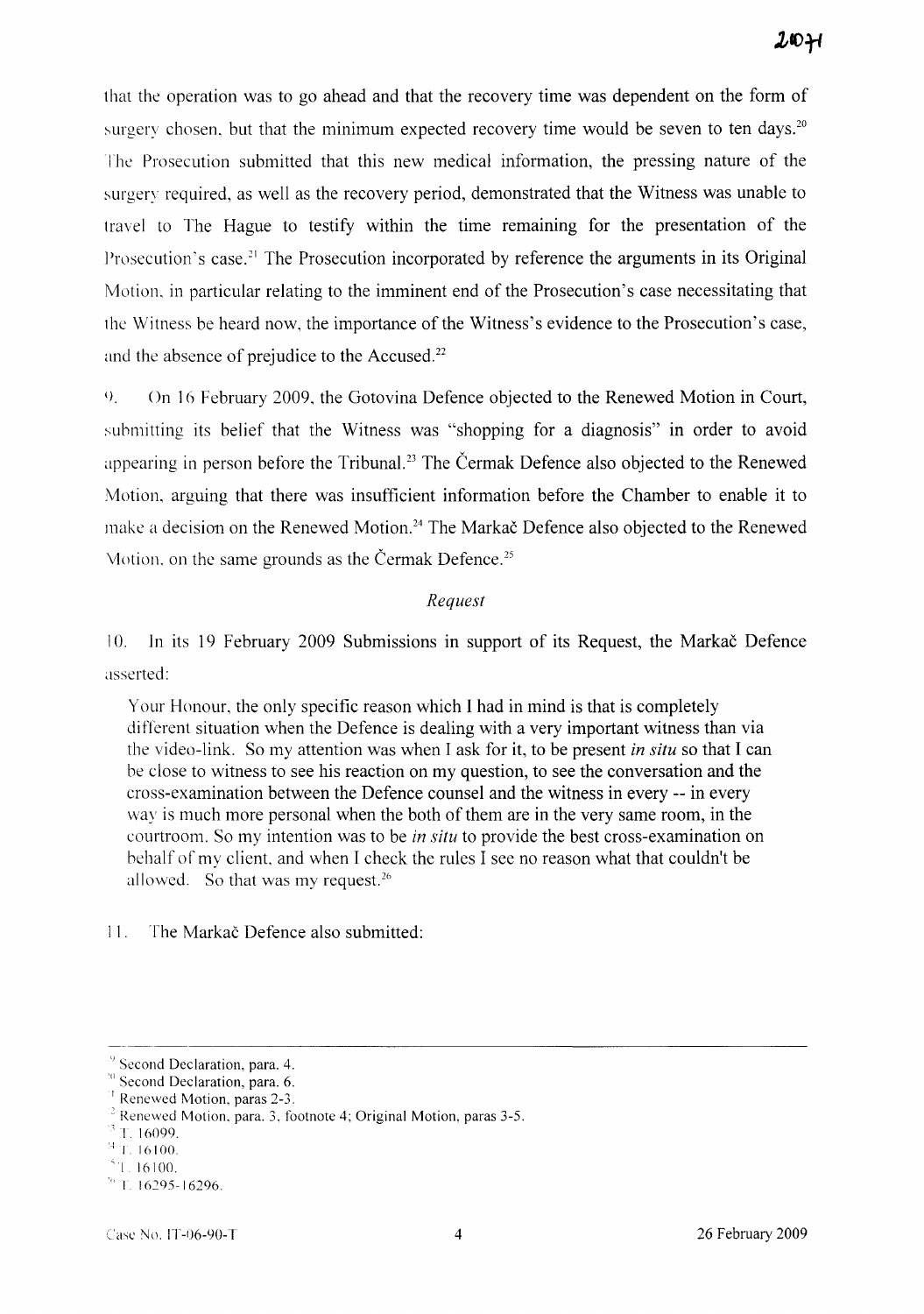that the operation was to go ahead and that the recovery time was dependent on the form of surgery chosen, but that the minimum expected recovery time would be seven to ten days.<sup>20</sup> The Prosecution submitted that this new medical information, the pressing nature of the surgery required, as well as the recovery period, demonstrated that the Witness was unable to travel to The Hague to testify within the time remaining for the presentation of the Prosecution's case.<sup>21</sup> The Prosecution incorporated by reference the arguments in its Original Motion. in particular relating to the imminent end of the Prosecution's case necessitating that the Witness be heard now, the importance of the Witness's evidence to the Prosecution's case, and the absence of prejudice to the Accused.<sup>22</sup>

l) On 16 February 2009, the Gotovina Defence objected to the Renewed Motion in Court, submitting its belief that the Witness was "shopping for a diagnosis" in order to avoid appearing in person before the Tribunal.<sup>23</sup> The Cermak Defence also objected to the Renewed Motion, arguing that there was insufficient information before the Chamber to enable it to make a decision on the Renewed Motion.<sup>24</sup> The Markač Defence also objected to the Renewed Vlotion, on the same grounds as the Čermak Defence.<sup>25</sup>

#### *Request*

10. In its 19 February 2009 Submissions in support of its Request, the Markac Defence asserted:

Your Honour, the only specific reason which I had in mind is that is completely different situation when the Defence is dealing with a very important witness than via the video-link. So my attention was when I ask for it, to be present *in situ* so that I can he close to witness to see his reaction on my question, to see the conversation and the cross-examination between the Defence counsel and the witness in every -- in every way is much more personal when the both of them are in the very same room, in the courtroom. So my intention was to be *in situ* to provide the best cross-examination on behalf of my client, and when I check the rules I see no reason what that couldn't be allowed. So that was my request.<sup>26</sup>

I 1. The Markac Defence also submitted:

Second Declaration, para. 4.

<sup>&</sup>lt;sup>10</sup> Second Declaration, para. 6.

 $<sup>1</sup>$  Renewed Motion, paras 2-3.</sup>

 $2$  Renewed Motion, para. 3, footnote 4; Original Motion, paras 3-5.

r 16099.

 $4$  T. 16100.

<sup>&#</sup>x27;I 16100.

 $\frac{1}{1}$ . 16295-16296.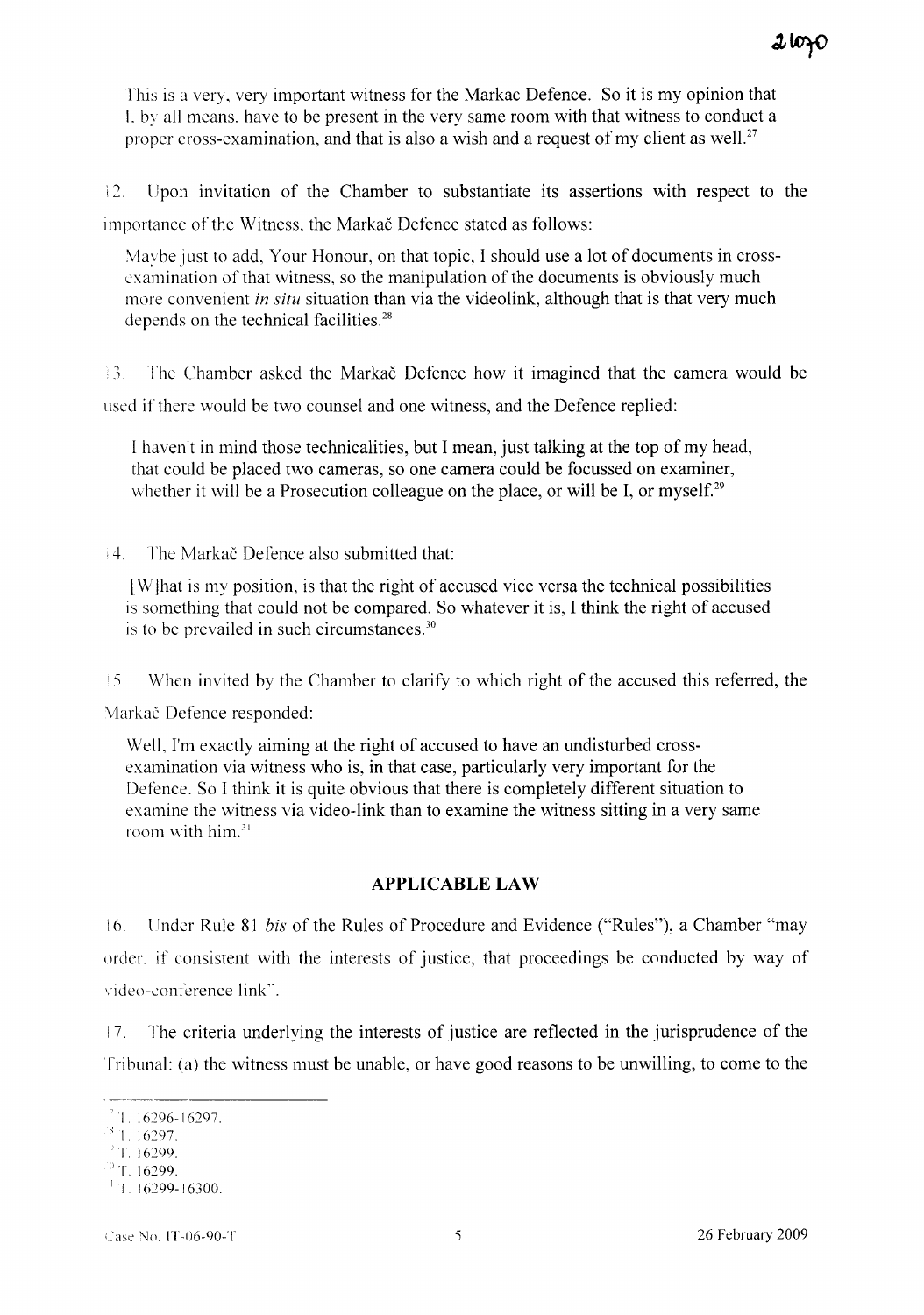This is a very, very important witness for the Markac Defence. So it is my opinion that I. by all means, have to be present in the very same room with that witness to conduct a proper cross-examination, and that is also a wish and a request of my client as well.<sup>27</sup>

12. Upon invitation of the Chamber to substantiate its assertions with respect to the importance of the Witness, the Markac Defence stated as follows:

Maybe just to add, Your Honour, on that topic, I should use a lot of documents in crossexamination of that witness, so the manipulation of the documents is obviously much more convenient *in situ* situation than via the videolink, although that is that very much depends on the technical facilities.<sup>28</sup>

13. The Chamber asked the Markac Defence how it imagined that the camera would be used if there would be two counsel and one witness, and the Defence replied:

I haven't in mind those technicalities, but I mean, just talking at the top of my head, that could be placed two cameras, so one camera could be focussed on examiner, whether it will be a Prosecution colleague on the place, or will be I, or myself.<sup>29</sup>

4. The Markac Defence also submitted that:

[Wjhat is my position, is that the right of accused vice versa the technical possibilities is something that could not be compared. So whatever it is, I think the right of accused is to be prevailed in such circumstances.<sup>30</sup>

 $\pm$  5. When invited by the Chamber to clarify to which right of the accused this referred, the

Markač Defence responded:

Well, I'm exactly aiming at the right of accused to have an undisturbed crossexamination via witness who is, in that case, particularly very important for the Defence. So I think it is quite obvious that there is completely different situation to examine the witness via video-link than to examine the witness sitting in a very same room with him.<sup>31</sup>

# **APPLICABLE LAW**

16. Under Rule <sup>81</sup> *bis* of the Rules of Procedure and Evidence ("Rules"), a Chamber "may order, if consistent with the interests of justice, that proceedings be conducted by way of video-conference link".

17. The criteria underlying the interests of justice are reflected in the jurisprudence of the Tribunal: (a) the witness must be unable, or have good reasons to be unwilling, to come to the

 $1.16296 - 16297.$ 

 $81.16297.$ 

<sup>&#</sup>x27;)1. 16299.

 $\degree$  T. 16299.

 $11.16299 - 16300.$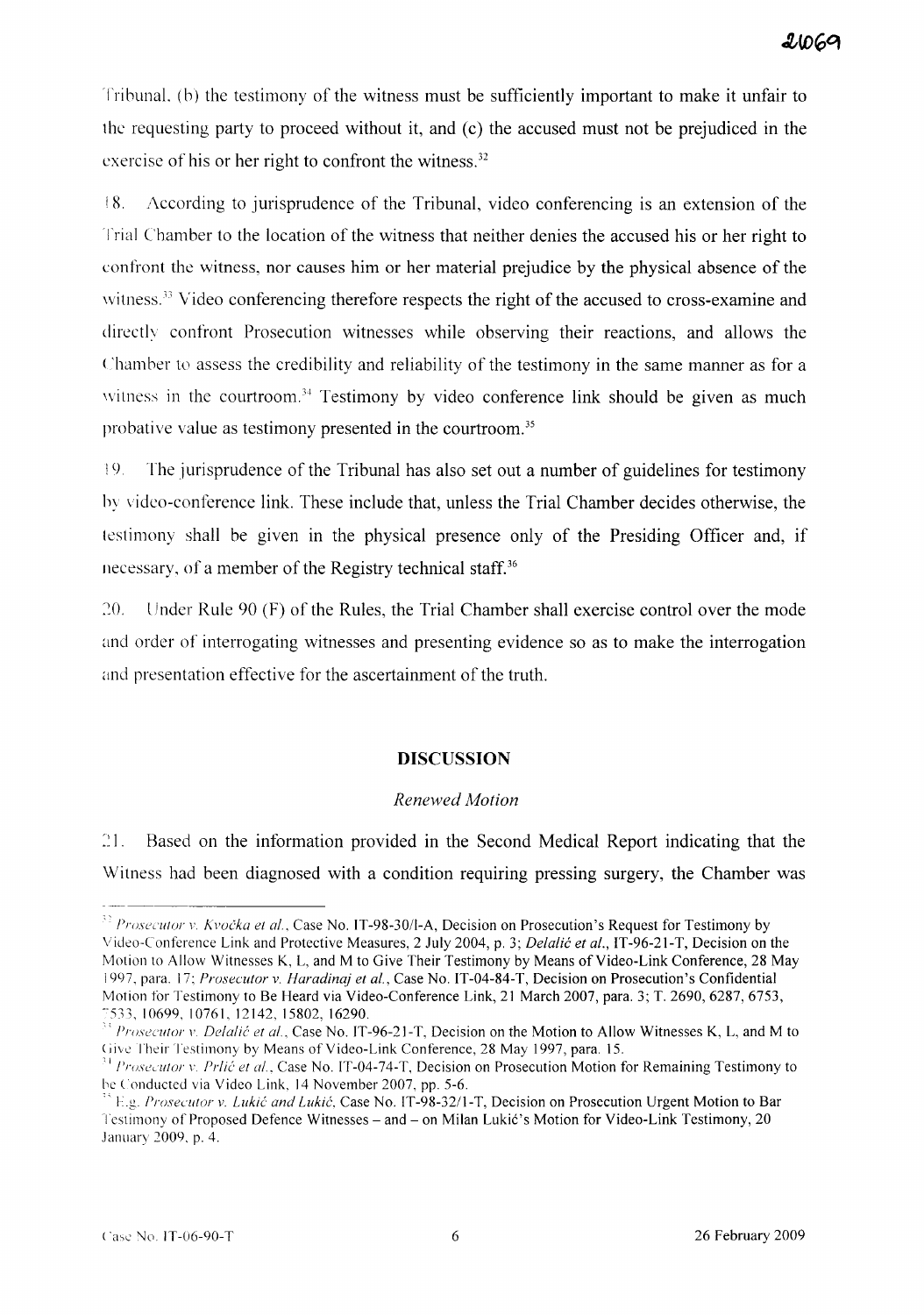Tribunal. (b) the testimony of the witness must be sufficiently important to make it unfair to the requesting party to proceed without it, and (c) the accused must not be prejudiced in the exercise of his or her right to confront the witness.<sup>32</sup>

18. According to jurisprudence of the Tribunal, video conferencing is an extension of the Trial Chamber to the location of the witness that neither denies the accused his or her right to confront the witness, nor causes him or her material prejudice by the physical absence of the witness.<sup>33</sup> Video conferencing therefore respects the right of the accused to cross-examine and directly confront Prosecution witnesses while observing their reactions, and allows the Chamber to assess the credibility and reliability of the testimony in the same manner as for a witness in the courtroom.<sup>34</sup> Testimony by video conference link should be given as much probative value as testimony presented in the courtroom.<sup>35</sup>

!9. The jurisprudence of the Tribunal has also set out a number of guidelines for testimony by video-conference link. These include that, unless the Trial Chamber decides otherwise, the testimony shall be given in the physical presence only of the Presiding Officer and, if necessary, of a member of the Registry technical staff.<sup>36</sup>

::0. Under Rule 90 (F) of the Rules, the Trial Chamber shall exercise control over the mode and order of interrogating witnesses and presenting evidence so as to make the interrogation and presentation effective for the ascertainment of the truth.

## **DISCUSSION**

#### *Renewed Motion*

21. Based on the information provided in the Second Medical Report indicating that the Witness had been diagnosed with a condition requiring pressing surgery, the Chamber was

*Prosccutor* v. *Kvocka et al.,* Case No. IT-98-30/I-A, Decision on Prosecution's Request for Testimony by Video-Conference Link and Protective Measures, 2 July 2004, p. 3; *Delalic et al.,* IT-96-21-T, Decision on the Motion to Allow Witnesses K, L, and M to Give Their Testimony by Means of Video-Link Conference, 28 May 1997, para. 17; *Prosecutor* v. *Haradinaj et al.,* Case No. IT-04-84-T, Decision on Prosecution's Confidential Motion for Testimony to Be Heard via Video-Conference Link, 21 March 2007, para. 3; T. 2690, 6287, 6753, "533,10699,10761,12142,15802,16290.

<sup>&</sup>lt;sup>33</sup> *Prosecutor v. Delalić et al.*, Case No. IT-96-21-T, Decision on the Motion to Allow Witnesses K, L, and M to Give Their Testimony by Means of Video-Link Conference, 28 May 1997, para. 15.

<sup>&</sup>lt;sup>31</sup> *Prosecutor v. Prlić et al.*, Case No. IT-04-74-T, Decision on Prosecution Motion for Remaining Testimony to he Conducted via Video Link, 14 November 2007, pp. 5-6.

<sup>&</sup>quot; Lg *Prosecutor* v. *Lukic and Lukic,* Case No. IT-98-32/1-T, Decision on Prosecution Urgent Motion to Bar Testimony of Proposed Defence Witnesses - and - on Milan Lukić's Motion for Video-Link Testimony, 20 January 2009, p. 4.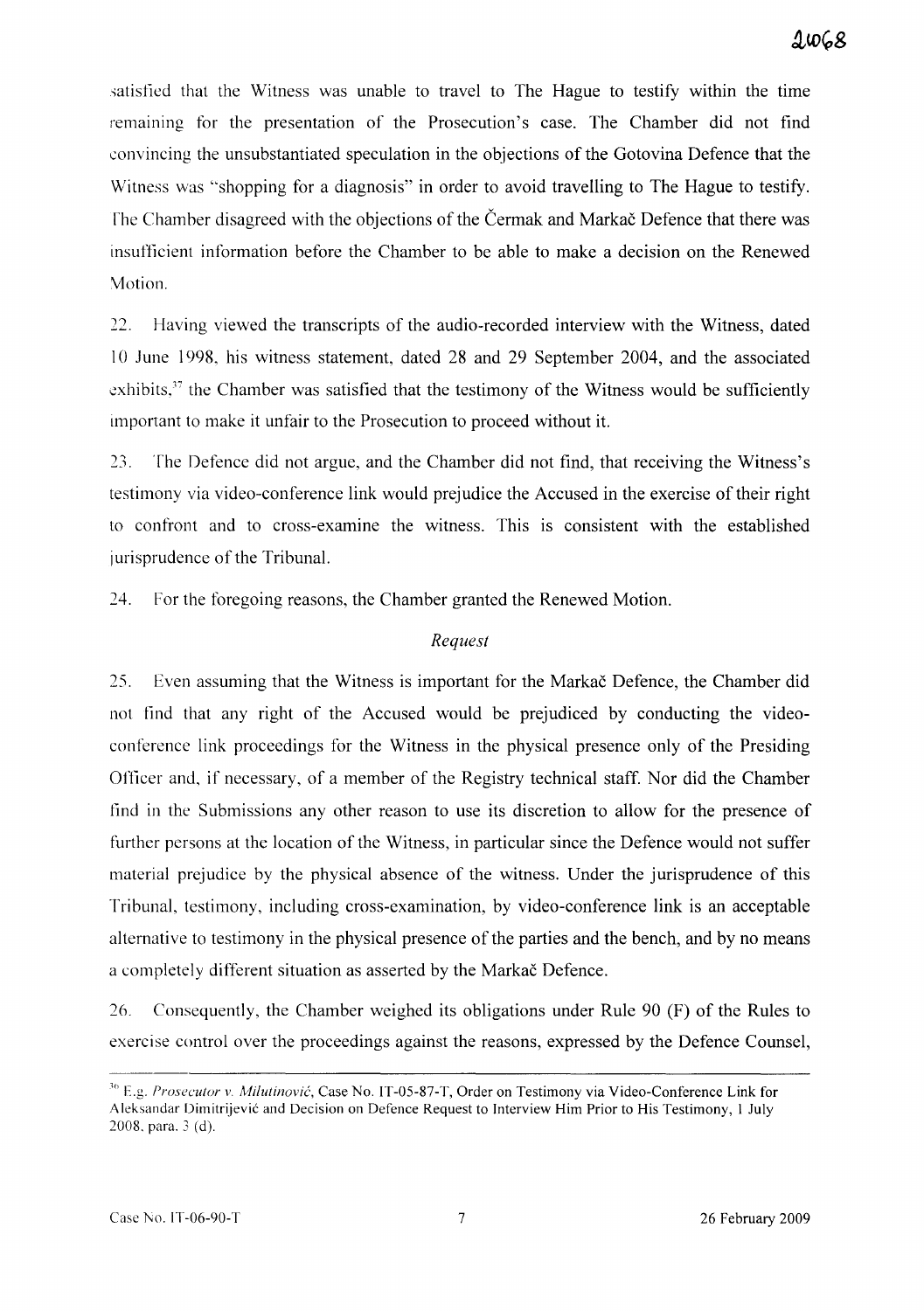satisfied that the Witness was unable to travel to The Hague to testify within the time remaining for the presentation of the Prosecution's case. The Chamber did not find convincing the unsubstantiated speculation in the objections of the Gotovina Defence that the Witness was "shopping for a diagnosis" in order to avoid travelling to The Hague to testify. The Chamber disagreed with the objections of the Cermak and Markac Defence that there was insufficient information before the Chamber to be able to make a decision on the Renewed Motion.

22. Having viewed the transcripts of the audio-recorded interview with the Witness, dated 10 June 1998, his witness statement, dated 28 and 29 September 2004, and the associated exhibits, $37$  the Chamber was satisfied that the testimony of the Witness would be sufficiently important to make it unfair to the Prosecution to proceed without it.

 $23.$ The Defence did not argue, and the Chamber did not find, that receiving the Witness's testimony via video-conference link would prejudice the Accused in the exercise of their right to confront and to cross-examine the witness. This is consistent with the established jurisprudence of the Tribunal.

24. For the foregoing reasons, the Chamber granted the Renewed Motion.

#### *Request*

25. Even assuming that the Witness is important for the Markac Defence, the Chamber did not find that any right of the Accused would be prejudiced by conducting the videoconference link proceedings for the Witness in the physical presence only of the Presiding Officer and, if necessary, of a member of the Registry technical staff. Nor did the Chamber find in the Submissions any other reason to use its discretion to allow for the presence of further persons at the location of the Witness, in particular since the Defence would not suffer material prejudice by the physical absence of the witness. Under the jurisprudence of this Tribunal, testimony, including cross-examination, by video-conference link is an acceptable alternative to testimony in the physical presence of the parties and the bench, and by no means a completely different situation as asserted by the Markac Defence.

26. Consequently, the Chamber weighed its obligations under Rule 90 (F) of the Rules to exercise control over the proceedings against the reasons, expressed by the Defence Counsel,

<sup>&</sup>lt;sup>36</sup> E.g. *Prosecutor v. Milutinović*, Case No. IT-05-87-T, Order on Testimony via Video-Conference Link for Aleksandar Dimitrijevic and Decision on Defence Request to Interview Him Prior to His Testimony, I July 2008. para. 3 (d).